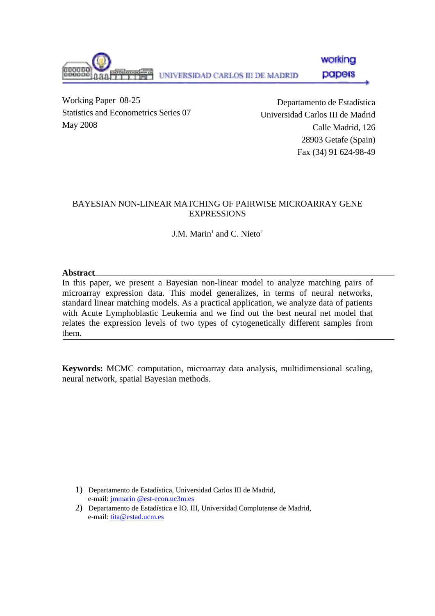working UNIVERSIDAD CARLOS III DE MADRID papers

Working Paper 08-25 Statistics and Econometrics Series 07 May 2008

Departamento de Estadística Universidad Carlos III de Madrid Calle Madrid, 126 28903 Getafe (Spain) Fax (34) 91 624-98-49

#### BAYESIAN NON-LINEAR MATCHING OF PAIRWISE MICROARRAY GENE EXPRESSIONS

J.M. Marin<sup>1</sup> and C. Nieto<sup>2</sup>

#### **Abstract**

In this paper, we present a Bayesian non-linear model to analyze matching pairs of microarray expression data. This model generalizes, in terms of neural networks, standard linear matching models. As a practical application, we analyze data of patients with Acute Lymphoblastic Leukemia and we find out the best neural net model that relates the expression levels of two types of cytogenetically different samples from them.

**Keywords:** MCMC computation, microarray data analysis, multidimensional scaling, neural network, spatial Bayesian methods.

1) Departamento de Estadística, Universidad Carlos III de Madrid, e-mail: jmmarin @est-econ.uc3m.es

2) Departamento de Estadística e IO. III, Universidad Complutense de Madrid, e-mail: tita@estad.ucm.es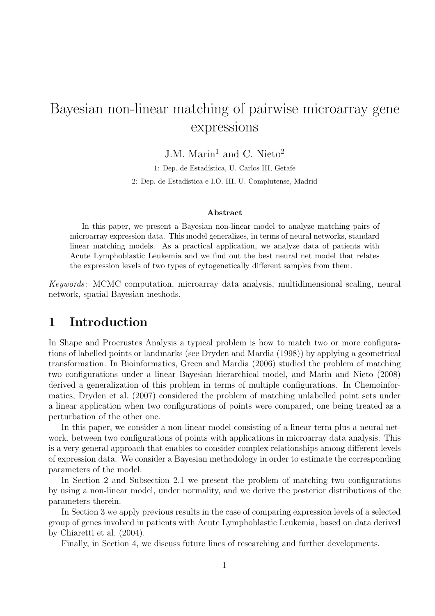# Bayesian non-linear matching of pairwise microarray gene expressions

J.M. Marin<sup>1</sup> and C. Nieto<sup>2</sup>

1: Dep. de Estadística, U. Carlos III, Getafe 2: Dep. de Estadística e I.O. III, U. Complutense, Madrid

#### Abstract

In this paper, we present a Bayesian non-linear model to analyze matching pairs of microarray expression data. This model generalizes, in terms of neural networks, standard linear matching models. As a practical application, we analyze data of patients with Acute Lymphoblastic Leukemia and we find out the best neural net model that relates the expression levels of two types of cytogenetically different samples from them.

Keywords: MCMC computation, microarray data analysis, multidimensional scaling, neural network, spatial Bayesian methods.

### 1 Introduction

In Shape and Procrustes Analysis a typical problem is how to match two or more configurations of labelled points or landmarks (see Dryden and Mardia (1998)) by applying a geometrical transformation. In Bioinformatics, Green and Mardia (2006) studied the problem of matching two configurations under a linear Bayesian hierarchical model, and Marin and Nieto (2008) derived a generalization of this problem in terms of multiple configurations. In Chemoinformatics, Dryden et al. (2007) considered the problem of matching unlabelled point sets under a linear application when two configurations of points were compared, one being treated as a perturbation of the other one.

In this paper, we consider a non-linear model consisting of a linear term plus a neural network, between two configurations of points with applications in microarray data analysis. This is a very general approach that enables to consider complex relationships among different levels of expression data. We consider a Bayesian methodology in order to estimate the corresponding parameters of the model.

In Section 2 and Subsection 2.1 we present the problem of matching two configurations by using a non-linear model, under normality, and we derive the posterior distributions of the parameters therein.

In Section 3 we apply previous results in the case of comparing expression levels of a selected group of genes involved in patients with Acute Lymphoblastic Leukemia, based on data derived by Chiaretti et al. (2004).

Finally, in Section 4, we discuss future lines of researching and further developments.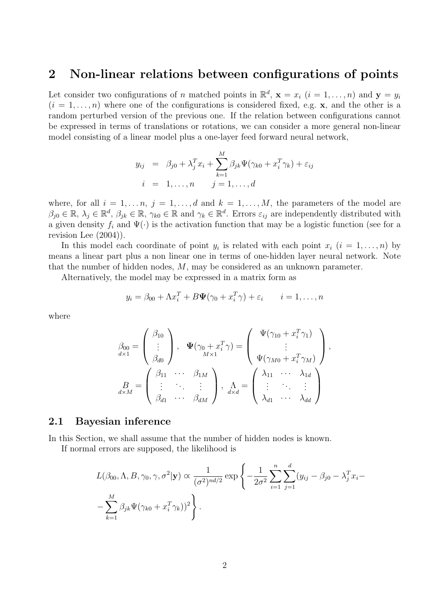#### 2 Non-linear relations between configurations of points

Let consider two configurations of n matched points in  $\mathbb{R}^d$ ,  $\mathbf{x} = x_i$   $(i = 1, \ldots, n)$  and  $\mathbf{y} = y_i$  $(i = 1, \ldots, n)$  where one of the configurations is considered fixed, e.g. **x**, and the other is a random perturbed version of the previous one. If the relation between configurations cannot be expressed in terms of translations or rotations, we can consider a more general non-linear model consisting of a linear model plus a one-layer feed forward neural network,

$$
y_{ij} = \beta_{j0} + \lambda_j^T x_i + \sum_{k=1}^M \beta_{jk} \Psi(\gamma_{k0} + x_i^T \gamma_k) + \varepsilon_{ij}
$$
  

$$
i = 1, \dots, n \qquad j = 1, \dots, d
$$

where, for all  $i = 1, \ldots, n$ ,  $j = 1, \ldots, d$  and  $k = 1, \ldots, M$ , the parameters of the model are  $\beta_{j0} \in \mathbb{R}, \lambda_j \in \mathbb{R}^d, \beta_{jk} \in \mathbb{R}, \gamma_{k0} \in \mathbb{R}$  and  $\gamma_k \in \mathbb{R}^d$ . Errors  $\varepsilon_{ij}$  are independently distributed with a given density  $f_i$  and  $\Psi(\cdot)$  is the activation function that may be a logistic function (see for a revision Lee (2004)).

In this model each coordinate of point  $y_i$  is related with each point  $x_i$   $(i = 1, \ldots, n)$  by means a linear part plus a non linear one in terms of one-hidden layer neural network. Note that the number of hidden nodes, M, may be considered as an unknown parameter.

Alternatively, the model may be expressed in a matrix form as

$$
y_i = \beta_{00} + \Lambda x_i^T + B\Psi(\gamma_0 + x_i^T \gamma) + \varepsilon_i \qquad i = 1, \dots, n
$$

where

$$
\beta_{00} = \begin{pmatrix} \beta_{10} \\ \vdots \\ \beta_{d0} \end{pmatrix}, \quad \Psi(\gamma_0 + x_i^T \gamma) = \begin{pmatrix} \Psi(\gamma_{10} + x_i^T \gamma_1) \\ \vdots \\ \Psi(\gamma_{M0} + x_i^T \gamma_M) \end{pmatrix},
$$
\n
$$
\beta_{dX} = \begin{pmatrix} \beta_{11} & \cdots & \beta_{1M} \\ \vdots & \ddots & \vdots \\ \beta_{d1} & \cdots & \beta_{dM} \end{pmatrix}, \quad \Lambda_{dX} = \begin{pmatrix} \lambda_{11} & \cdots & \lambda_{1d} \\ \vdots & \ddots & \vdots \\ \lambda_{d1} & \cdots & \lambda_{dd} \end{pmatrix}
$$

#### 2.1 Bayesian inference

In this Section, we shall assume that the number of hidden nodes is known.

If normal errors are supposed, the likelihood is

$$
L(\beta_{00}, \Lambda, B, \gamma_0, \gamma, \sigma^2 | \mathbf{y}) \propto \frac{1}{(\sigma^2)^{nd/2}} \exp \left\{-\frac{1}{2\sigma^2} \sum_{i=1}^n \sum_{j=1}^d (y_{ij} - \beta_{j0} - \lambda_j^T x_i - \sum_{k=1}^M \beta_{jk} \Psi(\gamma_{k0} + x_i^T \gamma_k))^2\right\}.
$$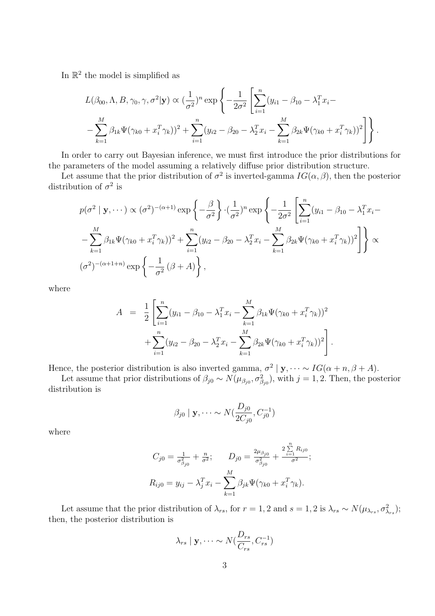In  $\mathbb{R}^2$  the model is simplified as

$$
L(\beta_{00}, \Lambda, B, \gamma_0, \gamma, \sigma^2 | \mathbf{y}) \propto (\frac{1}{\sigma^2})^n \exp \left\{ -\frac{1}{2\sigma^2} \left[ \sum_{i=1}^n (y_{i1} - \beta_{10} - \lambda_1^T x_i - \right. \\ - \sum_{k=1}^M \beta_{1k} \Psi(\gamma_{k0} + x_i^T \gamma_k))^2 + \sum_{i=1}^n (y_{i2} - \beta_{20} - \lambda_2^T x_i - \sum_{k=1}^M \beta_{2k} \Psi(\gamma_{k0} + x_i^T \gamma_k))^2 \right] \right\}.
$$

In order to carry out Bayesian inference, we must first introduce the prior distributions for the parameters of the model assuming a relatively diffuse prior distribution structure.

Let assume that the prior distribution of  $\sigma^2$  is inverted-gamma  $IG(\alpha, \beta)$ , then the posterior distribution of  $\sigma^2$  is

$$
p(\sigma^2 | \mathbf{y}, \dots) \propto (\sigma^2)^{-(\alpha+1)} \exp \left\{-\frac{\beta}{\sigma^2}\right\} \cdot (\frac{1}{\sigma^2})^n \exp \left\{-\frac{1}{2\sigma^2} \left[ \sum_{i=1}^n (y_{i1} - \beta_{10} - \lambda_1^T x_i - \nabla \cdot \frac{1}{\sigma^2} \beta_{1k} \Psi(\gamma_{k0} + x_i^T \gamma_k))^2 + \sum_{i=1}^n (y_{i2} - \beta_{20} - \lambda_2^T x_i - \sum_{k=1}^M \beta_{2k} \Psi(\gamma_{k0} + x_i^T \gamma_k))^2 \right] \right\} \propto
$$
  

$$
(\sigma^2)^{-(\alpha+1+n)} \exp \left\{-\frac{1}{\sigma^2} (\beta + A) \right\},
$$

where

$$
A = \frac{1}{2} \left[ \sum_{i=1}^{n} (y_{i1} - \beta_{10} - \lambda_1^T x_i - \sum_{k=1}^{M} \beta_{1k} \Psi(\gamma_{k0} + x_i^T \gamma_k))^2 + \sum_{i=1}^{n} (y_{i2} - \beta_{20} - \lambda_2^T x_i - \sum_{k=1}^{M} \beta_{2k} \Psi(\gamma_{k0} + x_i^T \gamma_k))^2 \right].
$$

Hence, the posterior distribution is also inverted gamma,  $\sigma^2 | y, \dots \sim IG(\alpha + n, \beta + A)$ .

Let assume that prior distributions of  $\beta_{j0} \sim N(\mu_{\beta_{j0}}, \sigma_{\beta_{j0}}^2)$ , with  $j = 1, 2$ . Then, the posterior distribution is

$$
\beta_{j0} | \mathbf{y}, \dots \sim N(\frac{D_{j0}}{2C_{j0}}, C_{j0}^{-1})
$$

where

$$
C_{j0} = \frac{1}{\sigma_{\beta_{j0}}^2} + \frac{n}{\sigma^2}; \qquad D_{j0} = \frac{2\mu_{\beta_{j0}}}{\sigma_{\beta_{j0}}^2} + \frac{2\sum\limits_{i=1}^n R_{ij0}}{\sigma^2};
$$

$$
R_{ij0} = y_{ij} - \lambda_j^T x_i - \sum\limits_{k=1}^M \beta_{jk} \Psi(\gamma_{k0} + x_i^T \gamma_k).
$$

Let assume that the prior distribution of  $\lambda_{rs}$ , for  $r = 1, 2$  and  $s = 1, 2$  is  $\lambda_{rs} \sim N(\mu_{\lambda_{rs}}, \sigma_{\lambda_{rs}}^2);$ then, the posterior distribution is

$$
\lambda_{rs} \mid \mathbf{y}, \dots \sim N(\frac{D_{rs}}{C_{rs}}, C_{rs}^{-1})
$$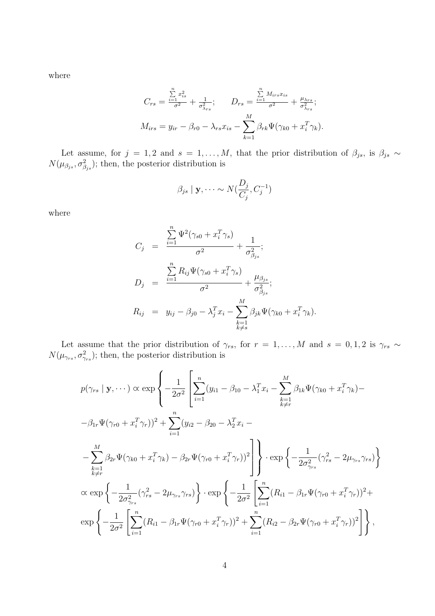where

$$
C_{rs} = \frac{\sum_{i=1}^{n} x_{is}^{2}}{\sigma^{2}} + \frac{1}{\sigma_{\lambda_{rs}}^{2}}; \qquad D_{rs} = \frac{\sum_{i=1}^{n} M_{irs} x_{is}}{\sigma^{2}} + \frac{\mu_{\lambda_{rs}}}{\sigma_{\lambda_{rs}}^{2}}; M_{irs} = y_{ir} - \beta_{r0} - \lambda_{rs} x_{is} - \sum_{k=1}^{M} \beta_{rk} \Psi(\gamma_{k0} + x_{i}^{T} \gamma_{k}).
$$

Let assume, for  $j = 1, 2$  and  $s = 1, \ldots, M$ , that the prior distribution of  $\beta_{js}$ , is  $\beta_{js} \sim$  $N(\mu_{\beta_{js}}, \sigma_{\beta_{js}}^2)$ ; then, the posterior distribution is

$$
\beta_{js} \mid \mathbf{y}, \dots \sim N(\frac{D_j}{C_j}, C_j^{-1})
$$

where

$$
C_j = \frac{\sum_{i=1}^n \Psi^2(\gamma_{s0} + x_i^T \gamma_s)}{\sigma^2} + \frac{1}{\sigma_{\beta_{js}}^2};
$$
  
\n
$$
D_j = \frac{\sum_{i=1}^n R_{ij} \Psi(\gamma_{s0} + x_i^T \gamma_s)}{\sigma^2} + \frac{\mu_{\beta_{js}}}{\sigma_{\beta_{js}}^2};
$$
  
\n
$$
R_{ij} = y_{ij} - \beta_{j0} - \lambda_j^T x_i - \sum_{\substack{k=1 \ k \neq s}}^M \beta_{jk} \Psi(\gamma_{k0} + x_i^T \gamma_k).
$$

Let assume that the prior distribution of  $\gamma_{rs}$ , for  $r = 1, \ldots, M$  and  $s = 0, 1, 2$  is  $\gamma_{rs} \sim$  $N(\mu_{\gamma_{rs}}, \sigma^2_{\gamma_{rs}})$ ; then, the posterior distribution is

$$
p(\gamma_{rs} | \mathbf{y}, \dots) \propto \exp \left\{ -\frac{1}{2\sigma^2} \left[ \sum_{i=1}^n (y_{i1} - \beta_{10} - \lambda_1^T x_i - \sum_{k=1}^M \beta_{1k} \Psi(\gamma_{k0} + x_i^T \gamma_k) - \beta_{1r} \Psi(\gamma_{r0} + x_i^T \gamma_r) \right]^2 + \sum_{i=1}^n (y_{i2} - \beta_{20} - \lambda_2^T x_i - \right. \\ \left. - \sum_{\substack{k=1 \\ k \neq r}}^M \beta_{2r} \Psi(\gamma_{k0} + x_i^T \gamma_k) - \beta_{2r} \Psi(\gamma_{r0} + x_i^T \gamma_r) \right]^2 \right\} \cdot \exp \left\{ -\frac{1}{2\sigma_{\gamma_{rs}}^2} (\gamma_{rs}^2 - 2\mu_{\gamma_{rs}} \gamma_{rs}) \right\} \\ \propto \exp \left\{ -\frac{1}{2\sigma_{\gamma_{rs}}^2} (\gamma_{rs}^2 - 2\mu_{\gamma_{rs}} \gamma_{rs}) \right\} \cdot \exp \left\{ -\frac{1}{2\sigma^2} \left[ \sum_{i=1}^n (R_{i1} - \beta_{1r} \Psi(\gamma_{r0} + x_i^T \gamma_r))^2 + \exp \left\{ -\frac{1}{2\sigma^2} \left[ \sum_{i=1}^n (R_{i2} - \beta_{2r} \Psi(\gamma_{r0} + x_i^T \gamma_r))^2 + \sum_{i=1}^n (R_{i2} - \beta_{2r} \Psi(\gamma_{r0} + x_i^T \gamma_r))^2 \right] \right\},
$$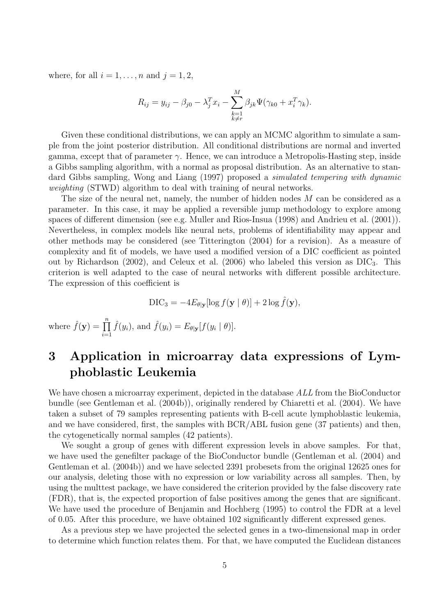where, for all  $i = 1, \ldots, n$  and  $j = 1, 2$ ,

$$
R_{ij} = y_{ij} - \beta_{j0} - \lambda_j^T x_i - \sum_{\substack{k=1\\k \neq r}}^M \beta_{jk} \Psi(\gamma_{k0} + x_i^T \gamma_k).
$$

Given these conditional distributions, we can apply an MCMC algorithm to simulate a sample from the joint posterior distribution. All conditional distributions are normal and inverted gamma, except that of parameter  $\gamma$ . Hence, we can introduce a Metropolis-Hasting step, inside a Gibbs sampling algorithm, with a normal as proposal distribution. As an alternative to standard Gibbs sampling, Wong and Liang (1997) proposed a simulated tempering with dynamic weighting (STWD) algorithm to deal with training of neural networks.

The size of the neural net, namely, the number of hidden nodes M can be considered as a parameter. In this case, it may be applied a reversible jump methodology to explore among spaces of different dimension (see e.g. Muller and Rios-Insua (1998) and Andrieu et al. (2001)). Nevertheless, in complex models like neural nets, problems of identifiability may appear and other methods may be considered (see Titterington (2004) for a revision). As a measure of complexity and fit of models, we have used a modified version of a DIC coefficient as pointed out by Richardson (2002), and Celeux et al. (2006) who labeled this version as  $\text{DIC}_3$ . This criterion is well adapted to the case of neural networks with different possible architecture. The expression of this coefficient is

$$
\text{DIC}_3 = -4E_{\theta|\mathbf{y}}[\log f(\mathbf{y} \mid \theta)] + 2\log \hat{f}(\mathbf{y}),
$$

where  $\hat{f}(\mathbf{y}) = \prod_{n=1}^n$  $i=1$  $\hat{f}(y_i)$ , and  $\hat{f}(y_i) = E_{\theta|\mathbf{y}}[f(y_i \mid \theta)].$ 

## 3 Application in microarray data expressions of Lymphoblastic Leukemia

We have chosen a microarray experiment, depicted in the database ALL from the BioConductor bundle (see Gentleman et al. (2004b)), originally rendered by Chiaretti et al. (2004). We have taken a subset of 79 samples representing patients with B-cell acute lymphoblastic leukemia, and we have considered, first, the samples with BCR/ABL fusion gene (37 patients) and then, the cytogenetically normal samples (42 patients).

We sought a group of genes with different expression levels in above samples. For that, we have used the genefilter package of the BioConductor bundle (Gentleman et al. (2004) and Gentleman et al. (2004b)) and we have selected 2391 probesets from the original 12625 ones for our analysis, deleting those with no expression or low variability across all samples. Then, by using the multtest package, we have considered the criterion provided by the false discovery rate (FDR), that is, the expected proportion of false positives among the genes that are significant. We have used the procedure of Benjamin and Hochberg (1995) to control the FDR at a level of 0.05. After this procedure, we have obtained 102 significantly different expressed genes.

As a previous step we have projected the selected genes in a two-dimensional map in order to determine which function relates them. For that, we have computed the Euclidean distances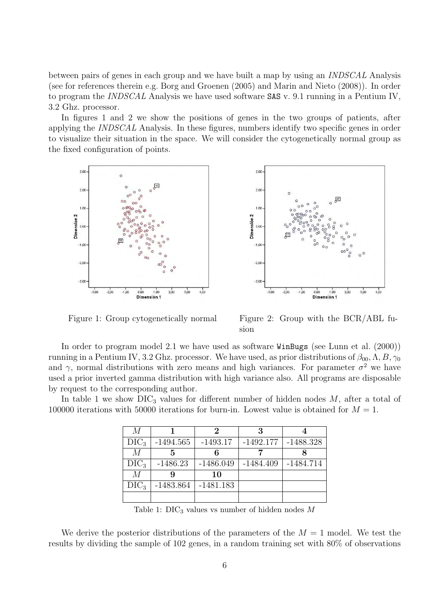between pairs of genes in each group and we have built a map by using an INDSCAL Analysis (see for references therein e.g. Borg and Groenen (2005) and Marin and Nieto (2008)). In order to program the INDSCAL Analysis we have used software SAS v. 9.1 running in a Pentium IV, 3.2 Ghz. processor.

In figures 1 and 2 we show the positions of genes in the two groups of patients, after applying the INDSCAL Analysis. In these figures, numbers identify two specific genes in order to visualize their situation in the space. We will consider the cytogenetically normal group as the fixed configuration of points.





Figure 1: Group cytogenetically normal Figure 2: Group with the BCR/ABL fusion

In order to program model 2.1 we have used as software WinBugs (see Lunn et al. (2000)) running in a Pentium IV, 3.2 Ghz. processor. We have used, as prior distributions of  $\beta_{00}$ ,  $\Lambda$ ,  $B$ ,  $\gamma_0$ and  $\gamma$ , normal distributions with zero means and high variances. For parameter  $\sigma^2$  we have used a prior inverted gamma distribution with high variance also. All programs are disposable by request to the corresponding author.

In table 1 we show  $\text{DIC}_3$  values for different number of hidden nodes M, after a total of 100000 iterations with 50000 iterations for burn-in. Lowest value is obtained for  $M = 1$ .

| M           |             | 2           | 3           |             |
|-------------|-------------|-------------|-------------|-------------|
| $\rm DIC_3$ | $-1494.565$ | $-1493.17$  | $-1492.177$ | $-1488.328$ |
| M           | 5           |             |             |             |
| $\rm DIC_3$ | $-1486.23$  | $-1486.049$ | $-1484.409$ | $-1484.714$ |
| M           |             | 10          |             |             |
| $\rm DIC_3$ | $-1483.864$ | $-1481.183$ |             |             |
|             |             |             |             |             |

Table 1:  $\text{DIC}_3$  values vs number of hidden nodes M

We derive the posterior distributions of the parameters of the  $M = 1$  model. We test the results by dividing the sample of 102 genes, in a random training set with 80% of observations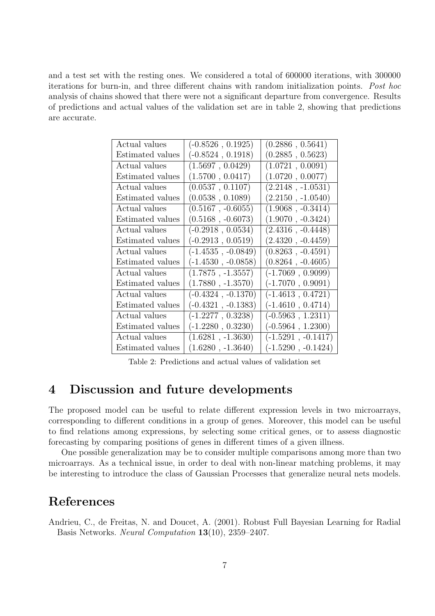and a test set with the resting ones. We considered a total of 600000 iterations, with 300000 iterations for burn-in, and three different chains with random initialization points. Post hoc analysis of chains showed that there were not a significant departure from convergence. Results of predictions and actual values of the validation set are in table 2, showing that predictions are accurate.

| Actual values    | $(-0.8526, 0.1925)$   | (0.2886, 0.5641)     |
|------------------|-----------------------|----------------------|
| Estimated values | $(-0.8524, 0.1918)$   | (0.2885, 0.5623)     |
| Actual values    | (1.5697, 0.0429)      | (1.0721, 0.0091)     |
| Estimated values | (1.5700, 0.0417)      | (1.0720, 0.0077)     |
| Actual values    | (0.0537, 0.1107)      | $(2.2148, -1.0531)$  |
| Estimated values | (0.0538, 0.1089)      | $(2.2150, -1.0540)$  |
| Actual values    | $(0.5167, -0.6055)$   | $(1.9068, -0.3414)$  |
| Estimated values | $(0.5168, -0.6073)$   | $(1.9070, -0.3424)$  |
| Actual values    | $(-0.2918, 0.0534)$   | $(2.4316, -0.4448)$  |
| Estimated values | $(-0.2913, 0.0519)$   | $(2.4320, -0.4459)$  |
| Actual values    | $(-1.4535, -0.0849)$  | $(0.8263, -0.4591)$  |
| Estimated values | $(-1.4530\;,-0.0858)$ | $(0.8264, -0.4605)$  |
| Actual values    | $(1.7875, -1.3557)$   | $(-1.7069, 0.9099)$  |
| Estimated values | $(1.7880, -1.3570)$   | $(-1.7070, 0.9091)$  |
| Actual values    | $(-0.4324, -0.1370)$  | $(-1.4613, 0.4721)$  |
| Estimated values | $(-0.4321, -0.1383)$  | $(-1.4610, 0.4714)$  |
| Actual values    | $(-1.2277, 0.3238)$   | $(-0.5963, 1.2311)$  |
| Estimated values | $(-1.2280, 0.3230)$   | $(-0.5964, 1.2300)$  |
| Actual values    | $(1.6281, -1.3630)$   | $(-1.5291, -0.1417)$ |
| Estimated values | $(1.6280, -1.3640)$   | $(-1.5290, -0.1424)$ |

Table 2: Predictions and actual values of validation set

## 4 Discussion and future developments

The proposed model can be useful to relate different expression levels in two microarrays, corresponding to different conditions in a group of genes. Moreover, this model can be useful to find relations among expressions, by selecting some critical genes, or to assess diagnostic forecasting by comparing positions of genes in different times of a given illness.

One possible generalization may be to consider multiple comparisons among more than two microarrays. As a technical issue, in order to deal with non-linear matching problems, it may be interesting to introduce the class of Gaussian Processes that generalize neural nets models.

## References

Andrieu, C., de Freitas, N. and Doucet, A. (2001). Robust Full Bayesian Learning for Radial Basis Networks. Neural Computation 13(10), 2359–2407.